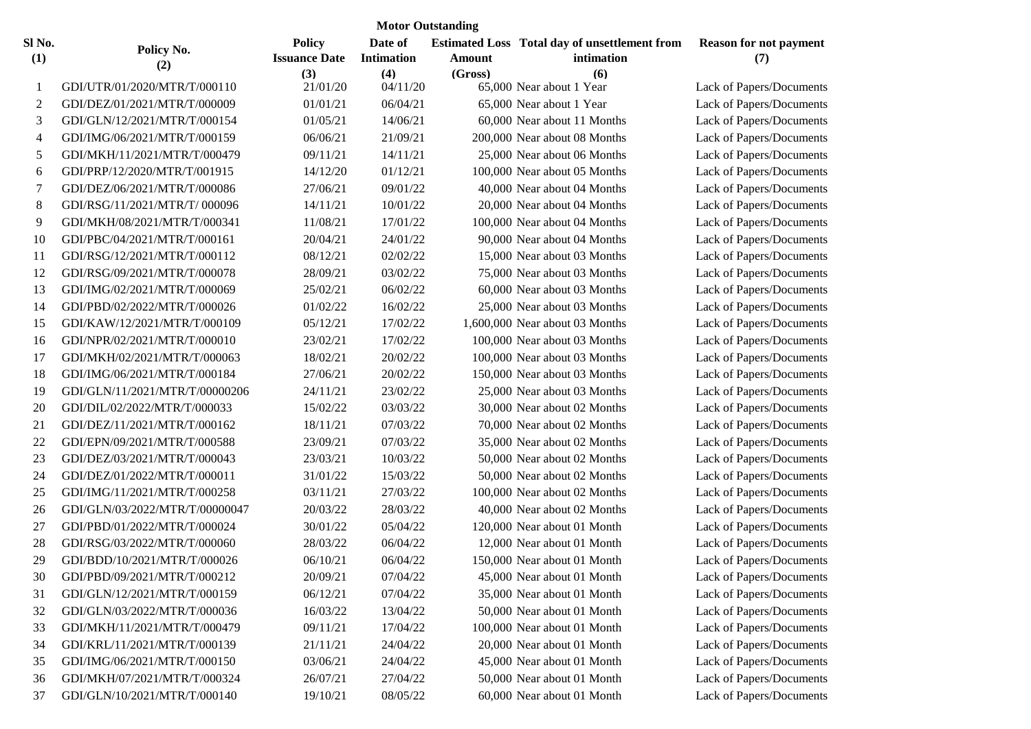| <b>Motor Outstanding</b> |                                |                                       |                              |               |                                                                    |                                      |  |  |  |  |  |
|--------------------------|--------------------------------|---------------------------------------|------------------------------|---------------|--------------------------------------------------------------------|--------------------------------------|--|--|--|--|--|
| Sl No.<br>(1)            | Policy No.<br>(2)              | <b>Policy</b><br><b>Issuance Date</b> | Date of<br><b>Intimation</b> | <b>Amount</b> | <b>Estimated Loss Total day of unsettlement from</b><br>intimation | <b>Reason for not payment</b><br>(7) |  |  |  |  |  |
| 1                        | GDI/UTR/01/2020/MTR/T/000110   | (3)<br>21/01/20                       | (4)<br>04/11/20              | (Gross)       | (6)<br>65,000 Near about 1 Year                                    | Lack of Papers/Documents             |  |  |  |  |  |
| $\overline{c}$           | GDI/DEZ/01/2021/MTR/T/000009   | 01/01/21                              | 06/04/21                     |               | 65,000 Near about 1 Year                                           | Lack of Papers/Documents             |  |  |  |  |  |
| 3                        | GDI/GLN/12/2021/MTR/T/000154   | 01/05/21                              | 14/06/21                     |               | 60,000 Near about 11 Months                                        | Lack of Papers/Documents             |  |  |  |  |  |
| 4                        | GDI/IMG/06/2021/MTR/T/000159   | 06/06/21                              | 21/09/21                     |               | 200,000 Near about 08 Months                                       | Lack of Papers/Documents             |  |  |  |  |  |
| 5                        | GDI/MKH/11/2021/MTR/T/000479   | 09/11/21                              | 14/11/21                     |               | 25,000 Near about 06 Months                                        | Lack of Papers/Documents             |  |  |  |  |  |
| 6                        | GDI/PRP/12/2020/MTR/T/001915   | 14/12/20                              | 01/12/21                     |               | 100,000 Near about 05 Months                                       | Lack of Papers/Documents             |  |  |  |  |  |
| 7                        | GDI/DEZ/06/2021/MTR/T/000086   | 27/06/21                              | 09/01/22                     |               | 40,000 Near about 04 Months                                        | Lack of Papers/Documents             |  |  |  |  |  |
| 8                        | GDI/RSG/11/2021/MTR/T/000096   | 14/11/21                              | 10/01/22                     |               | 20,000 Near about 04 Months                                        | Lack of Papers/Documents             |  |  |  |  |  |
| 9                        | GDI/MKH/08/2021/MTR/T/000341   | 11/08/21                              | 17/01/22                     |               | 100,000 Near about 04 Months                                       | Lack of Papers/Documents             |  |  |  |  |  |
| 10                       | GDI/PBC/04/2021/MTR/T/000161   | 20/04/21                              | 24/01/22                     |               | 90,000 Near about 04 Months                                        | Lack of Papers/Documents             |  |  |  |  |  |
| 11                       | GDI/RSG/12/2021/MTR/T/000112   | 08/12/21                              | 02/02/22                     |               | 15,000 Near about 03 Months                                        | Lack of Papers/Documents             |  |  |  |  |  |
| 12                       | GDI/RSG/09/2021/MTR/T/000078   | 28/09/21                              | 03/02/22                     |               | 75,000 Near about 03 Months                                        | Lack of Papers/Documents             |  |  |  |  |  |
| 13                       | GDI/IMG/02/2021/MTR/T/000069   | 25/02/21                              | 06/02/22                     |               | 60,000 Near about 03 Months                                        | Lack of Papers/Documents             |  |  |  |  |  |
| 14                       | GDI/PBD/02/2022/MTR/T/000026   | 01/02/22                              | 16/02/22                     |               | 25,000 Near about 03 Months                                        | Lack of Papers/Documents             |  |  |  |  |  |
| 15                       | GDI/KAW/12/2021/MTR/T/000109   | 05/12/21                              | 17/02/22                     |               | 1,600,000 Near about 03 Months                                     | Lack of Papers/Documents             |  |  |  |  |  |
| 16                       | GDI/NPR/02/2021/MTR/T/000010   | 23/02/21                              | 17/02/22                     |               | 100,000 Near about 03 Months                                       | Lack of Papers/Documents             |  |  |  |  |  |
| 17                       | GDI/MKH/02/2021/MTR/T/000063   | 18/02/21                              | 20/02/22                     |               | 100,000 Near about 03 Months                                       | Lack of Papers/Documents             |  |  |  |  |  |
| 18                       | GDI/IMG/06/2021/MTR/T/000184   | 27/06/21                              | 20/02/22                     |               | 150,000 Near about 03 Months                                       | Lack of Papers/Documents             |  |  |  |  |  |
| 19                       | GDI/GLN/11/2021/MTR/T/00000206 | 24/11/21                              | 23/02/22                     |               | 25,000 Near about 03 Months                                        | Lack of Papers/Documents             |  |  |  |  |  |
| 20                       | GDI/DIL/02/2022/MTR/T/000033   | 15/02/22                              | 03/03/22                     |               | 30,000 Near about 02 Months                                        | Lack of Papers/Documents             |  |  |  |  |  |
| 21                       | GDI/DEZ/11/2021/MTR/T/000162   | 18/11/21                              | 07/03/22                     |               | 70,000 Near about 02 Months                                        | Lack of Papers/Documents             |  |  |  |  |  |
| 22                       | GDI/EPN/09/2021/MTR/T/000588   | 23/09/21                              | 07/03/22                     |               | 35,000 Near about 02 Months                                        | Lack of Papers/Documents             |  |  |  |  |  |
| 23                       | GDI/DEZ/03/2021/MTR/T/000043   | 23/03/21                              | 10/03/22                     |               | 50,000 Near about 02 Months                                        | Lack of Papers/Documents             |  |  |  |  |  |
| 24                       | GDI/DEZ/01/2022/MTR/T/000011   | 31/01/22                              | 15/03/22                     |               | 50,000 Near about 02 Months                                        | Lack of Papers/Documents             |  |  |  |  |  |
| 25                       | GDI/IMG/11/2021/MTR/T/000258   | 03/11/21                              | 27/03/22                     |               | 100,000 Near about 02 Months                                       | Lack of Papers/Documents             |  |  |  |  |  |
| 26                       | GDI/GLN/03/2022/MTR/T/00000047 | 20/03/22                              | 28/03/22                     |               | 40,000 Near about 02 Months                                        | Lack of Papers/Documents             |  |  |  |  |  |
| 27                       | GDI/PBD/01/2022/MTR/T/000024   | 30/01/22                              | 05/04/22                     |               | 120,000 Near about 01 Month                                        | Lack of Papers/Documents             |  |  |  |  |  |
| 28                       | GDI/RSG/03/2022/MTR/T/000060   | 28/03/22                              | 06/04/22                     |               | 12,000 Near about 01 Month                                         | Lack of Papers/Documents             |  |  |  |  |  |
| 29                       | GDI/BDD/10/2021/MTR/T/000026   | 06/10/21                              | 06/04/22                     |               | 150,000 Near about 01 Month                                        | Lack of Papers/Documents             |  |  |  |  |  |
| 30                       | GDI/PBD/09/2021/MTR/T/000212   | 20/09/21                              | 07/04/22                     |               | 45,000 Near about 01 Month                                         | Lack of Papers/Documents             |  |  |  |  |  |
| 31                       | GDI/GLN/12/2021/MTR/T/000159   | 06/12/21                              | 07/04/22                     |               | 35,000 Near about 01 Month                                         | Lack of Papers/Documents             |  |  |  |  |  |
| 32                       | GDI/GLN/03/2022/MTR/T/000036   | 16/03/22                              | 13/04/22                     |               | 50,000 Near about 01 Month                                         | Lack of Papers/Documents             |  |  |  |  |  |
| 33                       | GDI/MKH/11/2021/MTR/T/000479   | 09/11/21                              | 17/04/22                     |               | 100,000 Near about 01 Month                                        | Lack of Papers/Documents             |  |  |  |  |  |
| 34                       | GDI/KRL/11/2021/MTR/T/000139   | 21/11/21                              | 24/04/22                     |               | 20,000 Near about 01 Month                                         | Lack of Papers/Documents             |  |  |  |  |  |
| 35                       | GDI/IMG/06/2021/MTR/T/000150   | 03/06/21                              | 24/04/22                     |               | 45,000 Near about 01 Month                                         | Lack of Papers/Documents             |  |  |  |  |  |
| 36                       | GDI/MKH/07/2021/MTR/T/000324   | 26/07/21                              | 27/04/22                     |               | 50,000 Near about 01 Month                                         | Lack of Papers/Documents             |  |  |  |  |  |
| 37                       | GDI/GLN/10/2021/MTR/T/000140   | 19/10/21                              | 08/05/22                     |               | 60,000 Near about 01 Month                                         | Lack of Papers/Documents             |  |  |  |  |  |